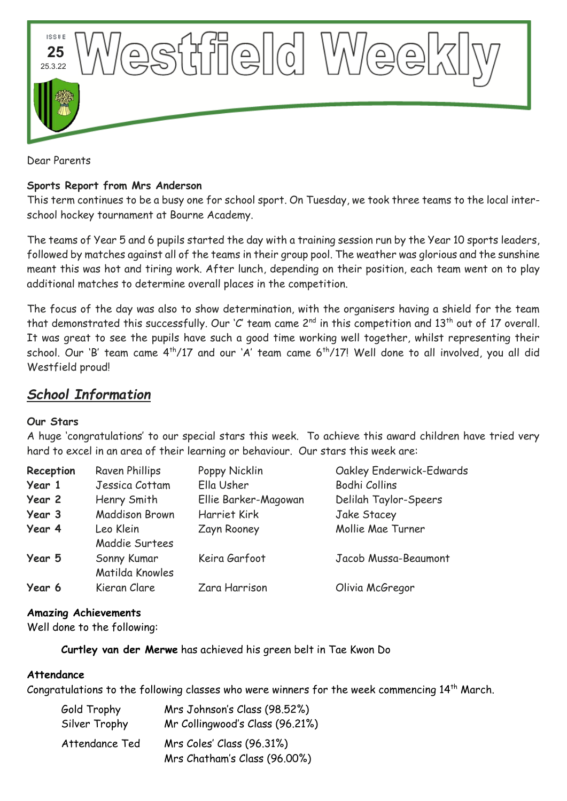

Dear Parents

#### **Sports Report from Mrs Anderson**

This term continues to be a busy one for school sport. On Tuesday, we took three teams to the local interschool hockey tournament at Bourne Academy.

The teams of Year 5 and 6 pupils started the day with a training session run by the Year 10 sports leaders, followed by matches against all of the teams in their group pool. The weather was glorious and the sunshine meant this was hot and tiring work. After lunch, depending on their position, each team went on to play additional matches to determine overall places in the competition.

The focus of the day was also to show determination, with the organisers having a shield for the team that demonstrated this successfully. Our 'C' team came 2<sup>nd</sup> in this competition and 13<sup>th</sup> out of 17 overall. It was great to see the pupils have such a good time working well together, whilst representing their school. Our 'B' team came 4<sup>th</sup>/17 and our 'A' team came 6<sup>th</sup>/17! Well done to all involved, you all did Westfield proud!

# *School Information*

#### **Our Stars**

A huge 'congratulations' to our special stars this week. To achieve this award children have tried very hard to excel in an area of their learning or behaviour. Our stars this week are:

| Reception | Raven Phillips                 | Poppy Nicklin        | Oakley Enderwick-Edwards |
|-----------|--------------------------------|----------------------|--------------------------|
| Year 1    | Jessica Cottam                 | Ella Usher           | Bodhi Collins            |
| Year 2    | Henry Smith                    | Ellie Barker-Magowan | Delilah Taylor-Speers    |
| Year 3    | <b>Maddison Brown</b>          | Harriet Kirk         | Jake Stacey              |
| Year 4    | Leo Klein<br>Maddie Surtees    | Zayn Rooney          | Mollie Mae Turner        |
| Year 5    | Sonny Kumar<br>Matilda Knowles | Keira Garfoot        | Jacob Mussa-Beaumont     |
| Year 6    | Kieran Clare                   | Zara Harrison        | Olivia McGregor          |

### **Amazing Achievements**

Well done to the following:

**Curtley van der Merwe** has achieved his green belt in Tae Kwon Do

### **Attendance**

Congratulations to the following classes who were winners for the week commencing  $14<sup>th</sup>$  March.

| Gold Trophy    | Mrs Johnson's Class (98.52%)    |  |
|----------------|---------------------------------|--|
| Silver Trophy  | Mr Collingwood's Class (96.21%) |  |
| Attendance Ted | Mrs Coles' Class (96.31%)       |  |
|                | Mrs Chatham's Class (96.00%)    |  |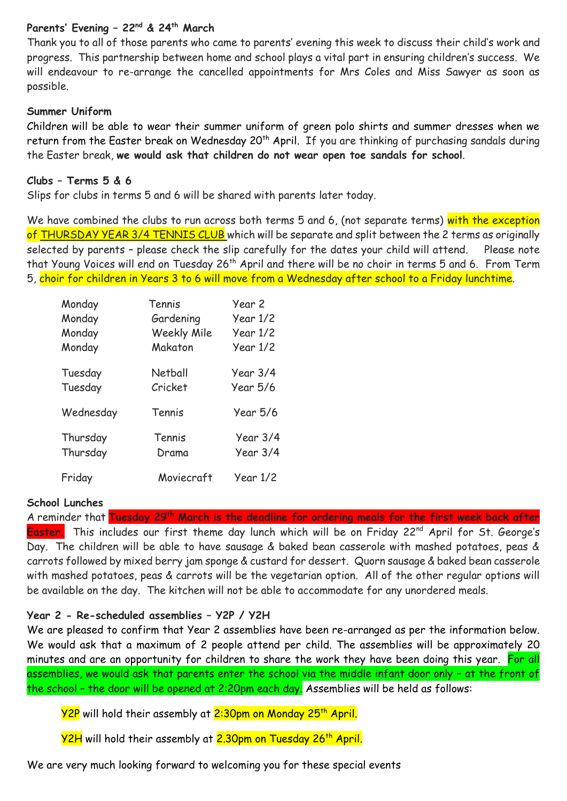### **Parents' Evening – 22nd & 24th March**

Thank you to all of those parents who came to parents' evening this week to discuss their child's work and progress. This partnership between home and school plays a vital part in ensuring children's success. We will endeavour to re-arrange the cancelled appointments for Mrs Coles and Miss Sawyer as soon as possible.

#### **Summer Uniform**

Children will be able to wear their summer uniform of green polo shirts and summer dresses when we return from the Easter break on Wednesday 20<sup>th</sup> April. If you are thinking of purchasing sandals during the Easter break, **we would ask that children do not wear open toe sandals for school**.

### **Clubs – Terms 5 & 6**

Slips for clubs in terms 5 and 6 will be shared with parents later today.

We have combined the clubs to run across both terms 5 and 6, (not separate terms) with the exception of THURSDAY YEAR 3/4 TENNIS CLUB which will be separate and split between the 2 terms as originally selected by parents - please check the slip carefully for the dates your child will attend. Please note that Young Voices will end on Tuesday 26th April and there will be no choir in terms 5 and 6. From Term 5, choir for children in Years 3 to 6 will move from a Wednesday after school to a Friday lunchtime.

| Monday    | Tennis             | Year 2   |
|-----------|--------------------|----------|
| Monday    | Gardening          | Year 1/2 |
| Monday    | <b>Weekly Mile</b> | Year 1/2 |
| Monday    | Makaton            | Year 1/2 |
| Tuesday   | Netball            | Year 3/4 |
| Tuesday   | Cricket            | Year 5/6 |
| Wednesday | Tennis             | Year 5/6 |
| Thursday  | Tennis             | Year 3/4 |
| Thursday  | Drama              | Year 3/4 |
| Friday    | Moviecraft         | Year 1/2 |

#### **School Lunches**

A reminder that **Tuesday 29th March is the deadline for ordering meals for the first week back after**  Easter. This includes our first theme day lunch which will be on Friday 22<sup>nd</sup> April for St. George's Day. The children will be able to have sausage & baked bean casserole with mashed potatoes, peas & carrots followed by mixed berry jam sponge & custard for dessert. Quorn sausage & baked bean casserole with mashed potatoes, peas & carrots will be the vegetarian option. All of the other regular options will be available on the day. The kitchen will not be able to accommodate for any unordered meals.

### **Year 2 - Re-scheduled assemblies – Y2P / Y2H**

We are pleased to confirm that Year 2 assemblies have been re-arranged as per the information below. We would ask that a maximum of 2 people attend per child. The assemblies will be approximately 20 minutes and are an opportunity for children to share the work they have been doing this year. For all assemblies, we would ask that parents enter the school via the middle infant door only – at the front of the school – the door will be opened at 2:20pm each day. Assemblies will be held as follows:

<mark>Y2P</mark> will hold their assembly at <mark>2:30pm on Monday 25<sup>th</sup> April.</mark>

Y2H will hold their assembly at 2.30pm on Tuesday 26<sup>th</sup> April.

We are very much looking forward to welcoming you for these special events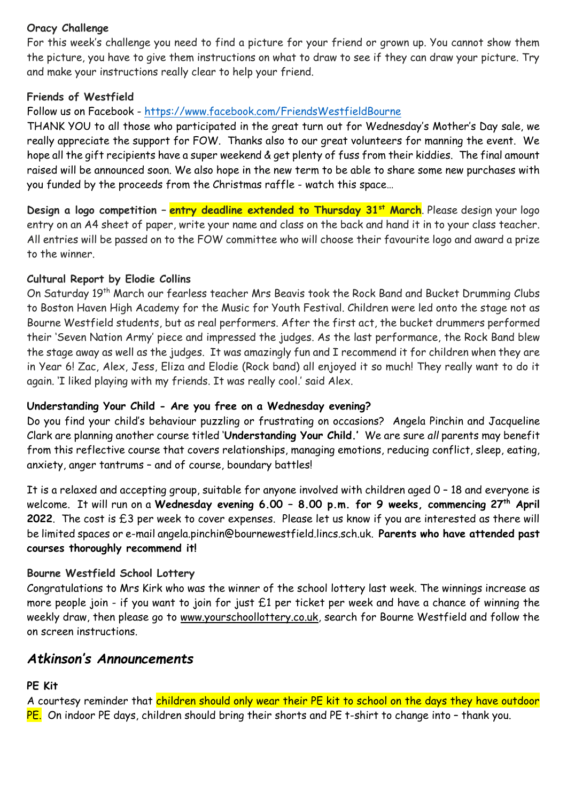### **Oracy Challenge**

For this week's challenge you need to find a picture for your friend or grown up. You cannot show them the picture, you have to give them instructions on what to draw to see if they can draw your picture. Try and make your instructions really clear to help your friend.

### **Friends of Westfield**

### Follow us on Facebook - <https://www.facebook.com/FriendsWestfieldBourne>

THANK YOU to all those who participated in the great turn out for Wednesday's Mother's Day sale, we really appreciate the support for FOW. Thanks also to our great volunteers for manning the event. We hope all the gift recipients have a super weekend & get plenty of fuss from their kiddies. The final amount raised will be announced soon. We also hope in the new term to be able to share some new purchases with you funded by the proceeds from the Christmas raffle - watch this space…

**Design a logo competition – entry deadline extended to Thursday 31st March**. Please design your logo entry on an A4 sheet of paper, write your name and class on the back and hand it in to your class teacher. All entries will be passed on to the FOW committee who will choose their favourite logo and award a prize to the winner.

### **Cultural Report by Elodie Collins**

On Saturday 19th March our fearless teacher Mrs Beavis took the Rock Band and Bucket Drumming Clubs to Boston Haven High Academy for the Music for Youth Festival. Children were led onto the stage not as Bourne Westfield students, but as real performers. After the first act, the bucket drummers performed their 'Seven Nation Army' piece and impressed the judges. As the last performance, the Rock Band blew the stage away as well as the judges. It was amazingly fun and I recommend it for children when they are in Year 6! Zac, Alex, Jess, Eliza and Elodie (Rock band) all enjoyed it so much! They really want to do it again. 'I liked playing with my friends. It was really cool.' said Alex.

### **Understanding Your Child - Are you free on a Wednesday evening?**

Do you find your child's behaviour puzzling or frustrating on occasions? Angela Pinchin and Jacqueline Clark are planning another course titled '**Understanding Your Child.'** We are sure *all* parents may benefit from this reflective course that covers relationships, managing emotions, reducing conflict, sleep, eating, anxiety, anger tantrums – and of course, boundary battles!

It is a relaxed and accepting group, suitable for anyone involved with children aged 0 – 18 and everyone is welcome. It will run on a **Wednesday evening 6.00 – 8.00 p.m. for 9 weeks, commencing 27th April 2022**. The cost is £3 per week to cover expenses. Please let us know if you are interested as there will be limited spaces or e-mail [angela.pinchin@bournewestfield.lincs.sch.uk.](mailto:angela.pinchin@bournewestfield.lincs.sch.uk) **Parents who have attended past courses thoroughly recommend it!**

## **Bourne Westfield School Lottery**

Congratulations to Mrs Kirk who was the winner of the school lottery last week. The winnings increase as more people join - if you want to join for just £1 per ticket per week and have a chance of winning the weekly draw, then please go to [www.yourschoollottery.co.uk,](http://www.yourschoollottery.co.uk/) search for Bourne Westfield and follow the on screen instructions.

# *Atkinson's Announcements*

### **PE Kit**

A courtesy reminder that children should only wear their PE kit to school on the days they have outdoor PE. On indoor PE days, children should bring their shorts and PE t-shirt to change into - thank you.